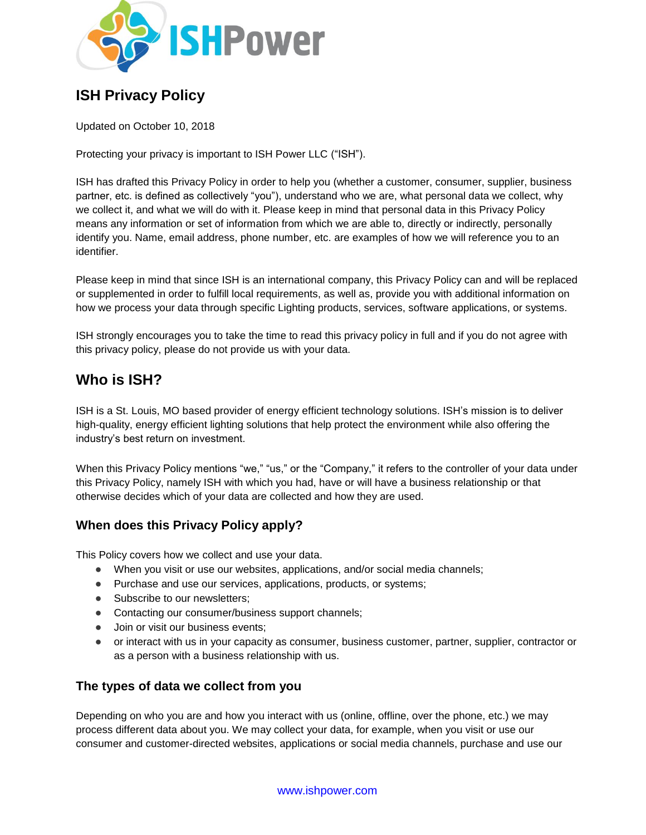

# **ISH Privacy Policy**

Updated on October 10, 2018

Protecting your privacy is important to ISH Power LLC ("ISH").

ISH has drafted this Privacy Policy in order to help you (whether a customer, consumer, supplier, business partner, etc. is defined as collectively "you"), understand who we are, what personal data we collect, why we collect it, and what we will do with it. Please keep in mind that personal data in this Privacy Policy means any information or set of information from which we are able to, directly or indirectly, personally identify you. Name, email address, phone number, etc. are examples of how we will reference you to an identifier.

Please keep in mind that since ISH is an international company, this Privacy Policy can and will be replaced or supplemented in order to fulfill local requirements, as well as, provide you with additional information on how we process your data through specific Lighting products, services, software applications, or systems.

ISH strongly encourages you to take the time to read this privacy policy in full and if you do not agree with this privacy policy, please do not provide us with your data.

# **Who is ISH?**

ISH is a St. Louis, MO based provider of energy efficient technology solutions. ISH's mission is to deliver high-quality, energy efficient lighting solutions that help protect the environment while also offering the industry's best return on investment.

When this Privacy Policy mentions "we," "us," or the "Company," it refers to the controller of your data under this Privacy Policy, namely ISH with which you had, have or will have a business relationship or that otherwise decides which of your data are collected and how they are used.

# **When does this Privacy Policy apply?**

This Policy covers how we collect and use your data.

- When you visit or use our websites, applications, and/or social media channels;
- Purchase and use our services, applications, products, or systems;
- Subscribe to our newsletters;
- Contacting our consumer/business support channels;
- Join or visit our business events;
- or interact with us in your capacity as consumer, business customer, partner, supplier, contractor or as a person with a business relationship with us.

# **The types of data we collect from you**

Depending on who you are and how you interact with us (online, offline, over the phone, etc.) we may process different data about you. We may collect your data, for example, when you visit or use our consumer and customer-directed websites, applications or social media channels, purchase and use our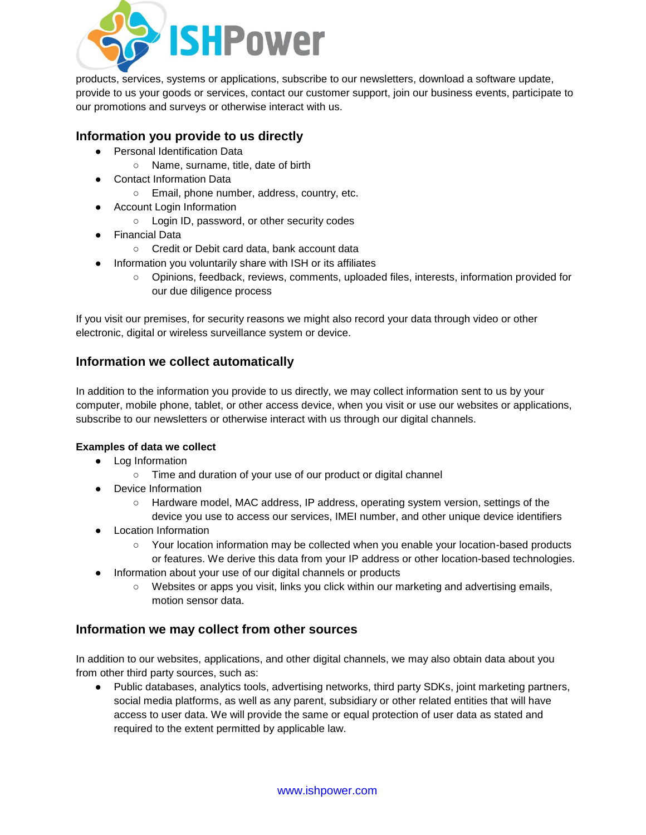

products, services, systems or applications, subscribe to our newsletters, download a software update, provide to us your goods or services, contact our customer support, join our business events, participate to our promotions and surveys or otherwise interact with us.

### **Information you provide to us directly**

- Personal Identification Data
	- Name, surname, title, date of birth
- **Contact Information Data** 
	- Email, phone number, address, country, etc.
- Account Login Information
	- Login ID, password, or other security codes
- Financial Data
	- Credit or Debit card data, bank account data
- Information you voluntarily share with ISH or its affiliates
	- Opinions, feedback, reviews, comments, uploaded files, interests, information provided for our due diligence process

If you visit our premises, for security reasons we might also record your data through video or other electronic, digital or wireless surveillance system or device.

# **Information we collect automatically**

In addition to the information you provide to us directly, we may collect information sent to us by your computer, mobile phone, tablet, or other access device, when you visit or use our websites or applications, subscribe to our newsletters or otherwise interact with us through our digital channels.

### **Examples of data we collect**

- Log Information
	- Time and duration of your use of our product or digital channel
- Device Information
	- Hardware model, MAC address, IP address, operating system version, settings of the device you use to access our services, IMEI number, and other unique device identifiers
- Location Information
	- Your location information may be collected when you enable your location-based products or features. We derive this data from your IP address or other location-based technologies.
- Information about your use of our digital channels or products
	- Websites or apps you visit, links you click within our marketing and advertising emails, motion sensor data.

# **Information we may collect from other sources**

In addition to our websites, applications, and other digital channels, we may also obtain data about you from other third party sources, such as:

● Public databases, analytics tools, advertising networks, third party SDKs, joint marketing partners, social media platforms, as well as any parent, subsidiary or other related entities that will have access to user data. We will provide the same or equal protection of user data as stated and required to the extent permitted by applicable law.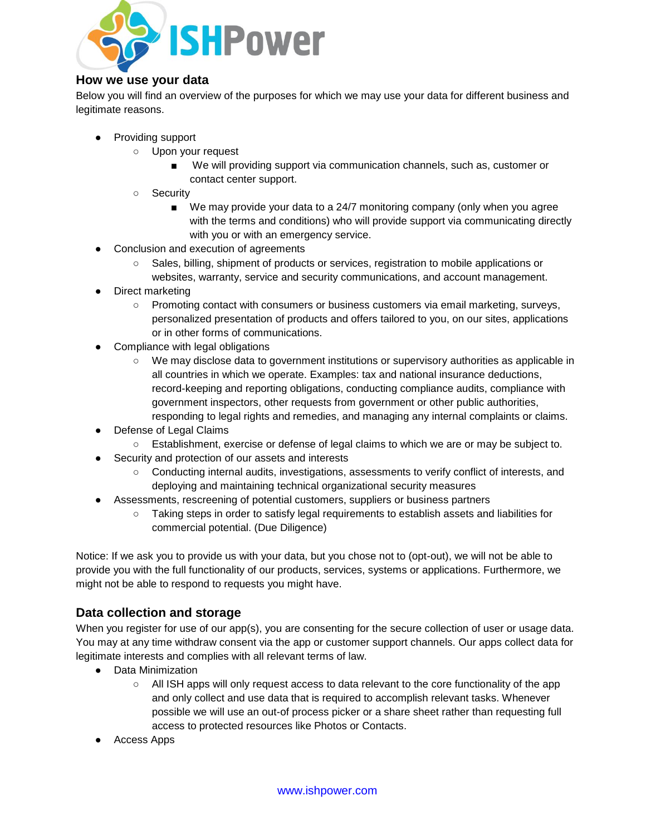

### **How we use your data**

Below you will find an overview of the purposes for which we may use your data for different business and legitimate reasons.

- Providing support
	- Upon your request
		- We will providing support via communication channels, such as, customer or contact center support.
	- Security
		- We may provide your data to a 24/7 monitoring company (only when you agree with the terms and conditions) who will provide support via communicating directly with you or with an emergency service.
- Conclusion and execution of agreements
	- Sales, billing, shipment of products or services, registration to mobile applications or websites, warranty, service and security communications, and account management.
- Direct marketing
	- Promoting contact with consumers or business customers via email marketing, surveys, personalized presentation of products and offers tailored to you, on our sites, applications or in other forms of communications.
- Compliance with legal obligations
	- We may disclose data to government institutions or supervisory authorities as applicable in all countries in which we operate. Examples: tax and national insurance deductions, record-keeping and reporting obligations, conducting compliance audits, compliance with government inspectors, other requests from government or other public authorities, responding to legal rights and remedies, and managing any internal complaints or claims.
- Defense of Legal Claims
	- Establishment, exercise or defense of legal claims to which we are or may be subject to.
- Security and protection of our assets and interests
	- Conducting internal audits, investigations, assessments to verify conflict of interests, and deploying and maintaining technical organizational security measures
- Assessments, rescreening of potential customers, suppliers or business partners
	- Taking steps in order to satisfy legal requirements to establish assets and liabilities for commercial potential. (Due Diligence)

Notice: If we ask you to provide us with your data, but you chose not to (opt-out), we will not be able to provide you with the full functionality of our products, services, systems or applications. Furthermore, we might not be able to respond to requests you might have.

# **Data collection and storage**

When you register for use of our app(s), you are consenting for the secure collection of user or usage data. You may at any time withdraw consent via the app or customer support channels. Our apps collect data for legitimate interests and complies with all relevant terms of law.

- Data Minimization
	- All ISH apps will only request access to data relevant to the core functionality of the app and only collect and use data that is required to accomplish relevant tasks. Whenever possible we will use an out-of process picker or a share sheet rather than requesting full access to protected resources like Photos or Contacts.
- Access Apps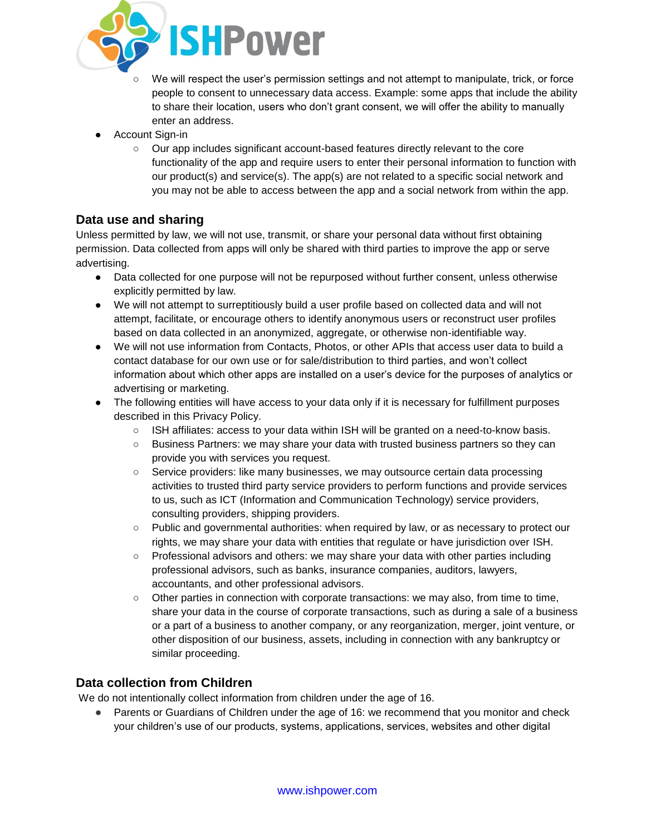

- We will respect the user's permission settings and not attempt to manipulate, trick, or force people to consent to unnecessary data access. Example: some apps that include the ability to share their location, users who don't grant consent, we will offer the ability to manually enter an address.
- **Account Sign-in** 
	- Our app includes significant account-based features directly relevant to the core functionality of the app and require users to enter their personal information to function with our product(s) and service(s). The app(s) are not related to a specific social network and you may not be able to access between the app and a social network from within the app.

# **Data use and sharing**

Unless permitted by law, we will not use, transmit, or share your personal data without first obtaining permission. Data collected from apps will only be shared with third parties to improve the app or serve advertising.

- Data collected for one purpose will not be repurposed without further consent, unless otherwise explicitly permitted by law.
- We will not attempt to surreptitiously build a user profile based on collected data and will not attempt, facilitate, or encourage others to identify anonymous users or reconstruct user profiles based on data collected in an anonymized, aggregate, or otherwise non-identifiable way.
- We will not use information from Contacts, Photos, or other APIs that access user data to build a contact database for our own use or for sale/distribution to third parties, and won't collect information about which other apps are installed on a user's device for the purposes of analytics or advertising or marketing.
- The following entities will have access to your data only if it is necessary for fulfillment purposes described in this Privacy Policy.
	- ISH affiliates: access to your data within ISH will be granted on a need-to-know basis.
	- Business Partners: we may share your data with trusted business partners so they can provide you with services you request.
	- Service providers: like many businesses, we may outsource certain data processing activities to trusted third party service providers to perform functions and provide services to us, such as ICT (Information and Communication Technology) service providers, consulting providers, shipping providers.
	- Public and governmental authorities: when required by law, or as necessary to protect our rights, we may share your data with entities that regulate or have jurisdiction over ISH.
	- Professional advisors and others: we may share your data with other parties including professional advisors, such as banks, insurance companies, auditors, lawyers, accountants, and other professional advisors.
	- Other parties in connection with corporate transactions: we may also, from time to time, share your data in the course of corporate transactions, such as during a sale of a business or a part of a business to another company, or any reorganization, merger, joint venture, or other disposition of our business, assets, including in connection with any bankruptcy or similar proceeding.

# **Data collection from Children**

We do not intentionally collect information from children under the age of 16.

Parents or Guardians of Children under the age of 16: we recommend that you monitor and check your children's use of our products, systems, applications, services, websites and other digital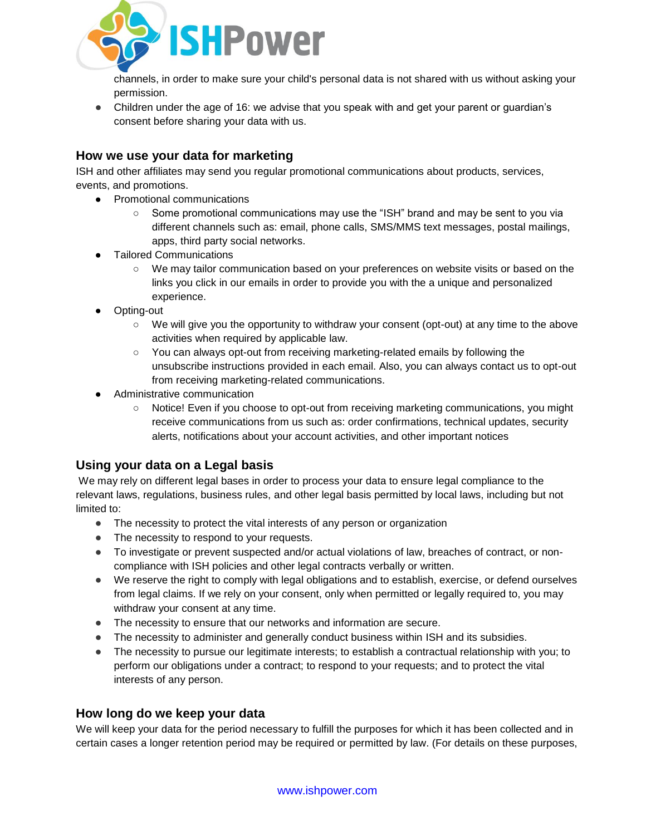

channels, in order to make sure your child's personal data is not shared with us without asking your permission.

● Children under the age of 16: we advise that you speak with and get your parent or quardian's consent before sharing your data with us.

### **How we use your data for marketing**

ISH and other affiliates may send you regular promotional communications about products, services, events, and promotions.

- Promotional communications
	- Some promotional communications may use the "ISH" brand and may be sent to you via different channels such as: email, phone calls, SMS/MMS text messages, postal mailings, apps, third party social networks.
- **Tailored Communications** 
	- We may tailor communication based on your preferences on website visits or based on the links you click in our emails in order to provide you with the a unique and personalized experience.
- Opting-out
	- We will give you the opportunity to withdraw your consent (opt-out) at any time to the above activities when required by applicable law.
	- You can always opt-out from receiving marketing-related emails by following the unsubscribe instructions provided in each email. Also, you can always contact us to opt-out from receiving marketing-related communications.
- Administrative communication
	- Notice! Even if you choose to opt-out from receiving marketing communications, you might receive communications from us such as: order confirmations, technical updates, security alerts, notifications about your account activities, and other important notices

# **Using your data on a Legal basis**

We may rely on different legal bases in order to process your data to ensure legal compliance to the relevant laws, regulations, business rules, and other legal basis permitted by local laws, including but not limited to:

- The necessity to protect the vital interests of any person or organization
- The necessity to respond to your requests.
- To investigate or prevent suspected and/or actual violations of law, breaches of contract, or noncompliance with ISH policies and other legal contracts verbally or written.
- We reserve the right to comply with legal obligations and to establish, exercise, or defend ourselves from legal claims. If we rely on your consent, only when permitted or legally required to, you may withdraw your consent at any time.
- The necessity to ensure that our networks and information are secure.
- The necessity to administer and generally conduct business within ISH and its subsidies.
- The necessity to pursue our legitimate interests; to establish a contractual relationship with you; to perform our obligations under a contract; to respond to your requests; and to protect the vital interests of any person.

### **How long do we keep your data**

We will keep your data for the period necessary to fulfill the purposes for which it has been collected and in certain cases a longer retention period may be required or permitted by law. (For details on these purposes,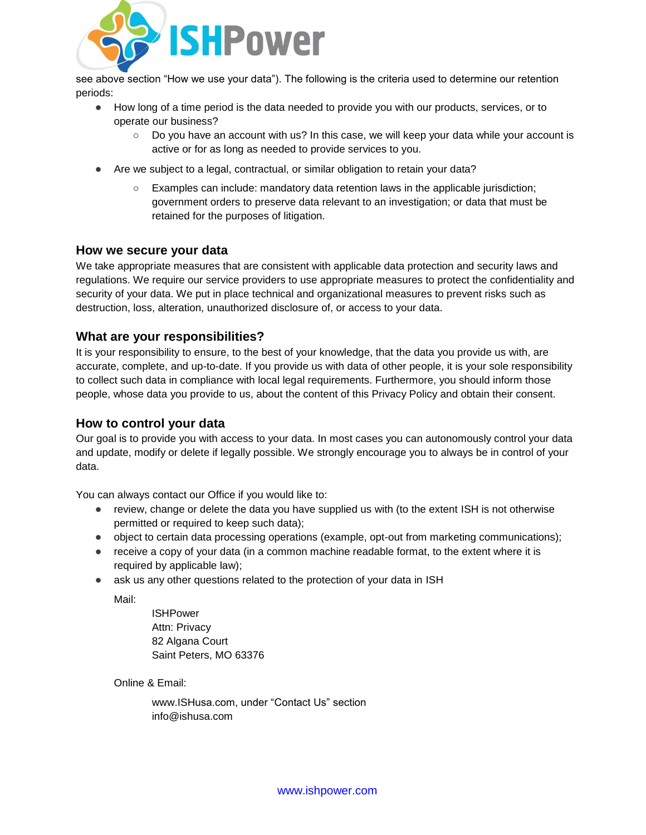

see above section "How we use your data"). The following is the criteria used to determine our retention periods:

- How long of a time period is the data needed to provide you with our products, services, or to operate our business?
	- Do you have an account with us? In this case, we will keep your data while your account is active or for as long as needed to provide services to you.
- Are we subject to a legal, contractual, or similar obligation to retain your data?
	- Examples can include: mandatory data retention laws in the applicable jurisdiction; government orders to preserve data relevant to an investigation; or data that must be retained for the purposes of litigation.

#### **How we secure your data**

We take appropriate measures that are consistent with applicable data protection and security laws and regulations. We require our service providers to use appropriate measures to protect the confidentiality and security of your data. We put in place technical and organizational measures to prevent risks such as destruction, loss, alteration, unauthorized disclosure of, or access to your data.

#### **What are your responsibilities?**

It is your responsibility to ensure, to the best of your knowledge, that the data you provide us with, are accurate, complete, and up-to-date. If you provide us with data of other people, it is your sole responsibility to collect such data in compliance with local legal requirements. Furthermore, you should inform those people, whose data you provide to us, about the content of this Privacy Policy and obtain their consent.

### **How to control your data**

Our goal is to provide you with access to your data. In most cases you can autonomously control your data and update, modify or delete if legally possible. We strongly encourage you to always be in control of your data.

You can always contact our Office if you would like to:

- review, change or delete the data you have supplied us with (to the extent ISH is not otherwise permitted or required to keep such data);
- object to certain data processing operations (example, opt-out from marketing communications);
- receive a copy of your data (in a common machine readable format, to the extent where it is required by applicable law);
- ask us any other questions related to the protection of your data in ISH

Mail:

ISHPower Attn: Privacy 82 Algana Court Saint Peters, MO 63376

Online & Email:

www.ISHusa.com, under "Contact Us" section info@ishusa.com